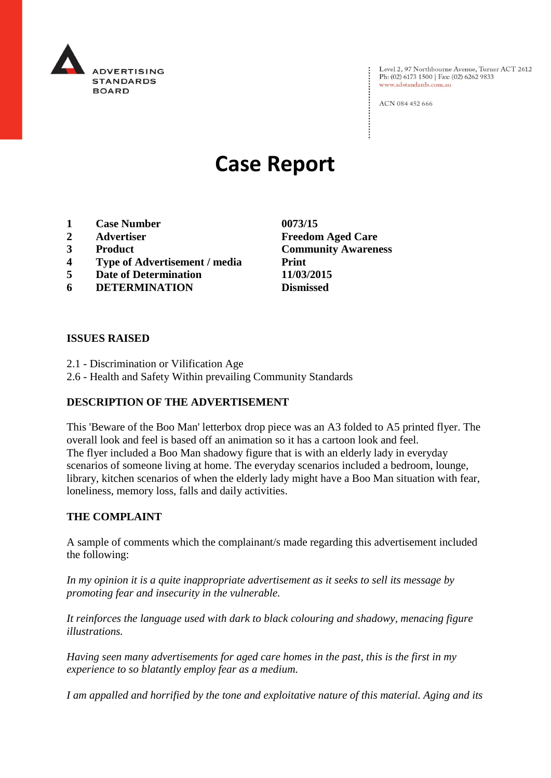

Level 2, 97 Northbourne Avenue, Turner ACT 2612 Ph: (02) 6173 1500 | Fax: (02) 6262 9833 www.adstandards.com.au

ACN 084 452 666

# **Case Report**

- **1 Case Number 0073/15**
- 
- 
- **4 Type of Advertisement / media Print**
- **5 Date of Determination 11/03/2015**
- **6 DETERMINATION Dismissed**

## **ISSUES RAISED**

- 2.1 Discrimination or Vilification Age
- 2.6 Health and Safety Within prevailing Community Standards

# **DESCRIPTION OF THE ADVERTISEMENT**

This 'Beware of the Boo Man' letterbox drop piece was an A3 folded to A5 printed flyer. The overall look and feel is based off an animation so it has a cartoon look and feel. The flyer included a Boo Man shadowy figure that is with an elderly lady in everyday scenarios of someone living at home. The everyday scenarios included a bedroom, lounge, library, kitchen scenarios of when the elderly lady might have a Boo Man situation with fear, loneliness, memory loss, falls and daily activities.

#### **THE COMPLAINT**

A sample of comments which the complainant/s made regarding this advertisement included the following:

*In my opinion it is a quite inappropriate advertisement as it seeks to sell its message by promoting fear and insecurity in the vulnerable.*

*It reinforces the language used with dark to black colouring and shadowy, menacing figure illustrations.*

*Having seen many advertisements for aged care homes in the past, this is the first in my experience to so blatantly employ fear as a medium.*

*I am appalled and horrified by the tone and exploitative nature of this material. Aging and its* 

**2 Advertiser Freedom Aged Care 3 Product Community Awareness**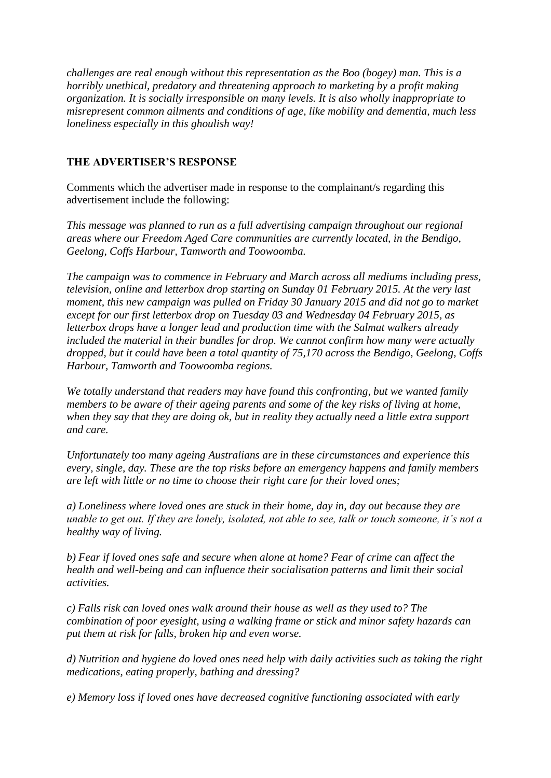*challenges are real enough without this representation as the Boo (bogey) man. This is a horribly unethical, predatory and threatening approach to marketing by a profit making organization. It is socially irresponsible on many levels. It is also wholly inappropriate to misrepresent common ailments and conditions of age, like mobility and dementia, much less loneliness especially in this ghoulish way!*

# **THE ADVERTISER'S RESPONSE**

Comments which the advertiser made in response to the complainant/s regarding this advertisement include the following:

*This message was planned to run as a full advertising campaign throughout our regional areas where our Freedom Aged Care communities are currently located, in the Bendigo, Geelong, Coffs Harbour, Tamworth and Toowoomba.*

*The campaign was to commence in February and March across all mediums including press, television, online and letterbox drop starting on Sunday 01 February 2015. At the very last moment, this new campaign was pulled on Friday 30 January 2015 and did not go to market except for our first letterbox drop on Tuesday 03 and Wednesday 04 February 2015, as letterbox drops have a longer lead and production time with the Salmat walkers already included the material in their bundles for drop. We cannot confirm how many were actually dropped, but it could have been a total quantity of 75,170 across the Bendigo, Geelong, Coffs Harbour, Tamworth and Toowoomba regions.*

*We totally understand that readers may have found this confronting, but we wanted family members to be aware of their ageing parents and some of the key risks of living at home, when they say that they are doing ok, but in reality they actually need a little extra support and care.* 

*Unfortunately too many ageing Australians are in these circumstances and experience this every, single, day. These are the top risks before an emergency happens and family members are left with little or no time to choose their right care for their loved ones;* 

*a) Loneliness where loved ones are stuck in their home, day in, day out because they are unable to get out. If they are lonely, isolated, not able to see, talk or touch someone, it's not a healthy way of living.*

*b) Fear if loved ones safe and secure when alone at home? Fear of crime can affect the health and well-being and can influence their socialisation patterns and limit their social activities.*

*c) Falls risk can loved ones walk around their house as well as they used to? The combination of poor eyesight, using a walking frame or stick and minor safety hazards can put them at risk for falls, broken hip and even worse.*

*d) Nutrition and hygiene do loved ones need help with daily activities such as taking the right medications, eating properly, bathing and dressing?* 

*e) Memory loss if loved ones have decreased cognitive functioning associated with early*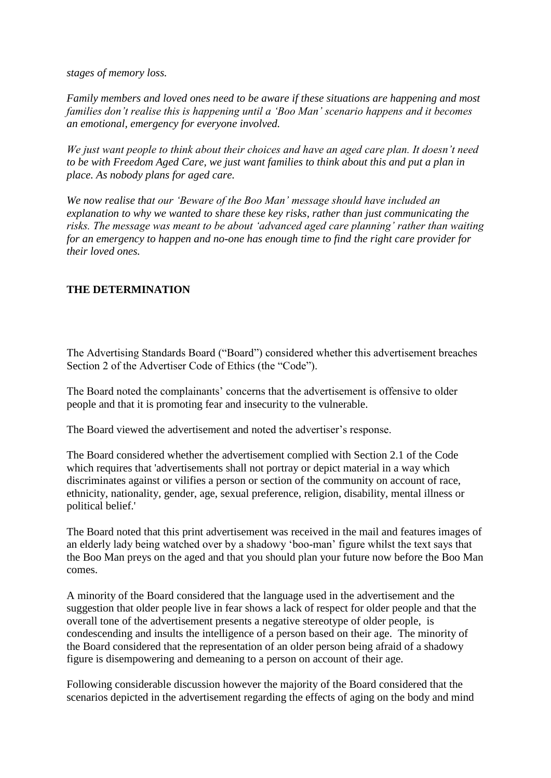*stages of memory loss.* 

*Family members and loved ones need to be aware if these situations are happening and most families don't realise this is happening until a 'Boo Man' scenario happens and it becomes an emotional, emergency for everyone involved.* 

*We just want people to think about their choices and have an aged care plan. It doesn't need to be with Freedom Aged Care, we just want families to think about this and put a plan in place. As nobody plans for aged care.*

*We now realise that our 'Beware of the Boo Man' message should have included an explanation to why we wanted to share these key risks, rather than just communicating the risks. The message was meant to be about 'advanced aged care planning' rather than waiting for an emergency to happen and no-one has enough time to find the right care provider for their loved ones.*

## **THE DETERMINATION**

The Advertising Standards Board ("Board") considered whether this advertisement breaches Section 2 of the Advertiser Code of Ethics (the "Code").

The Board noted the complainants' concerns that the advertisement is offensive to older people and that it is promoting fear and insecurity to the vulnerable.

The Board viewed the advertisement and noted the advertiser's response.

The Board considered whether the advertisement complied with Section 2.1 of the Code which requires that 'advertisements shall not portray or depict material in a way which discriminates against or vilifies a person or section of the community on account of race, ethnicity, nationality, gender, age, sexual preference, religion, disability, mental illness or political belief.'

The Board noted that this print advertisement was received in the mail and features images of an elderly lady being watched over by a shadowy 'boo-man' figure whilst the text says that the Boo Man preys on the aged and that you should plan your future now before the Boo Man comes.

A minority of the Board considered that the language used in the advertisement and the suggestion that older people live in fear shows a lack of respect for older people and that the overall tone of the advertisement presents a negative stereotype of older people, is condescending and insults the intelligence of a person based on their age. The minority of the Board considered that the representation of an older person being afraid of a shadowy figure is disempowering and demeaning to a person on account of their age.

Following considerable discussion however the majority of the Board considered that the scenarios depicted in the advertisement regarding the effects of aging on the body and mind